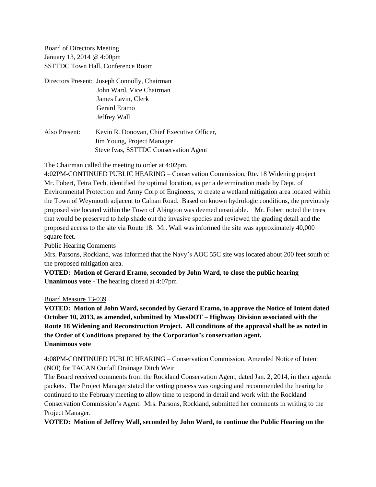Board of Directors Meeting January 13, 2014 @ 4:00pm SSTTDC Town Hall, Conference Room

- Directors Present: Joseph Connolly, Chairman John Ward, Vice Chairman James Lavin, Clerk Gerard Eramo Jeffrey Wall
- Also Present: Kevin R. Donovan, Chief Executive Officer, Jim Young, Project Manager Steve Ivas, SSTTDC Conservation Agent

The Chairman called the meeting to order at 4:02pm.

4:02PM-CONTINUED PUBLIC HEARING – Conservation Commission, Rte. 18 Widening project Mr. Fobert, Tetra Tech, identified the optimal location, as per a determination made by Dept. of Environmental Protection and Army Corp of Engineers, to create a wetland mitigation area located within the Town of Weymouth adjacent to Calnan Road. Based on known hydrologic conditions, the previously proposed site located within the Town of Abington was deemed unsuitable. Mr. Fobert noted the trees that would be preserved to help shade out the invasive species and reviewed the grading detail and the proposed access to the site via Route 18. Mr. Wall was informed the site was approximately 40,000 square feet.

Public Hearing Comments

Mrs. Parsons, Rockland, was informed that the Navy's AOC 55C site was located about 200 feet south of the proposed mitigation area.

**VOTED: Motion of Gerard Eramo, seconded by John Ward, to close the public hearing Unanimous vote -** The hearing closed at 4:07pm

## Board Measure 13-039

**VOTED: Motion of John Ward, seconded by Gerard Eramo, to approve the Notice of Intent dated October 10, 2013, as amended, submitted by MassDOT – Highway Division associated with the Route 18 Widening and Reconstruction Project. All conditions of the approval shall be as noted in the Order of Conditions prepared by the Corporation's conservation agent. Unanimous vote**

4:08PM-CONTINUED PUBLIC HEARING – Conservation Commission, Amended Notice of Intent (NOI) for TACAN Outfall Drainage Ditch Weir

The Board received comments from the Rockland Conservation Agent, dated Jan. 2, 2014, in their agenda packets. The Project Manager stated the vetting process was ongoing and recommended the hearing be continued to the February meeting to allow time to respond in detail and work with the Rockland Conservation Commission's Agent. Mrs. Parsons, Rockland, submitted her comments in writing to the Project Manager.

**VOTED: Motion of Jeffrey Wall, seconded by John Ward, to continue the Public Hearing on the**